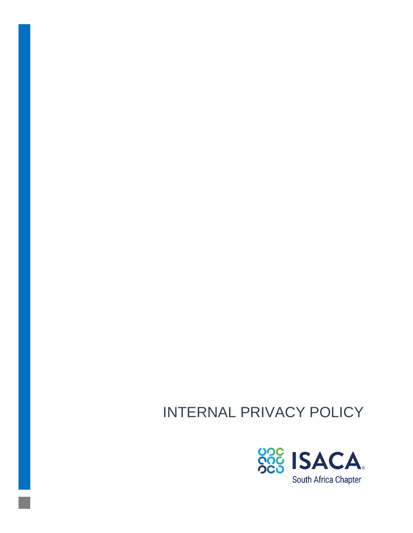# INTERNAL PRIVACY POLICY

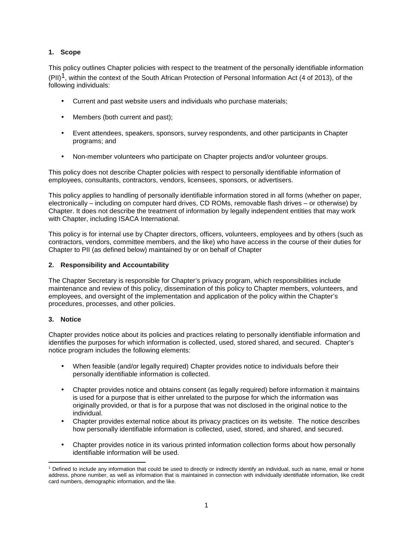## **1. Scope**

This policy outlines Chapter policies with respect to the treatment of the personally identifiable information  $(PII)^1$ , within the context of the South African Protection of Personal Information Act (4 of 2013), of the following individuals:

- Current and past website users and individuals who purchase materials;
- Members (both current and past);
- Event attendees, speakers, sponsors, survey respondents, and other participants in Chapter programs; and
- Non-member volunteers who participate on Chapter projects and/or volunteer groups.

This policy does not describe Chapter policies with respect to personally identifiable information of employees, consultants, contractors, vendors, licensees, sponsors, or advertisers.

This policy applies to handling of personally identifiable information stored in all forms (whether on paper, electronically – including on computer hard drives, CD ROMs, removable flash drives – or otherwise) by Chapter. It does not describe the treatment of information by legally independent entities that may work with Chapter, including ISACA International.

This policy is for internal use by Chapter directors, officers, volunteers, employees and by others (such as contractors, vendors, committee members, and the like) who have access in the course of their duties for Chapter to PII (as defined below) maintained by or on behalf of Chapter

#### **2. Responsibility and Accountability**

The Chapter Secretary is responsible for Chapter's privacy program, which responsibilities include maintenance and review of this policy, dissemination of this policy to Chapter members, volunteers, and employees, and oversight of the implementation and application of the policy within the Chapter's procedures, processes, and other policies.

#### **3. Notice**

 $\overline{a}$ 

Chapter provides notice about its policies and practices relating to personally identifiable information and identifies the purposes for which information is collected, used, stored shared, and secured. Chapter's notice program includes the following elements:

- When feasible (and/or legally required) Chapter provides notice to individuals before their personally identifiable information is collected.
- Chapter provides notice and obtains consent (as legally required) before information it maintains is used for a purpose that is either unrelated to the purpose for which the information was originally provided, or that is for a purpose that was not disclosed in the original notice to the individual.
- Chapter provides external notice about its privacy practices on its website. The notice describes how personally identifiable information is collected, used, stored, and shared, and secured.
- Chapter provides notice in its various printed information collection forms about how personally identifiable information will be used.

<sup>1</sup> Defined to include any information that could be used to directly or indirectly identify an individual, such as name, email or home address, phone number, as well as information that is maintained in connection with individually identifiable information, like credit card numbers, demographic information, and the like.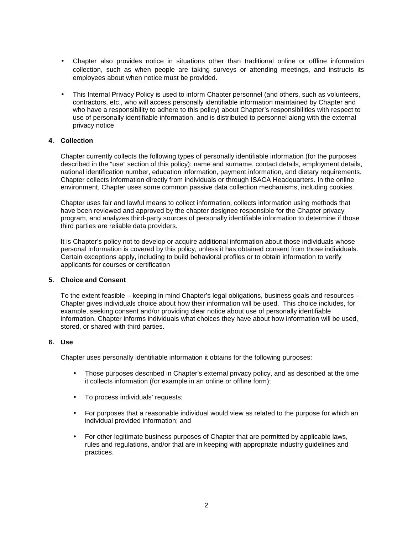- Chapter also provides notice in situations other than traditional online or offline information collection, such as when people are taking surveys or attending meetings, and instructs its employees about when notice must be provided.
- This Internal Privacy Policy is used to inform Chapter personnel (and others, such as volunteers, contractors, etc., who will access personally identifiable information maintained by Chapter and who have a responsibility to adhere to this policy) about Chapter's responsibilities with respect to use of personally identifiable information, and is distributed to personnel along with the external privacy notice

#### **4. Collection**

Chapter currently collects the following types of personally identifiable information (for the purposes described in the "use" section of this policy): name and surname, contact details, employment details, national identification number, education information, payment information, and dietary requirements. Chapter collects information directly from individuals or through ISACA Headquarters. In the online environment, Chapter uses some common passive data collection mechanisms, including cookies.

Chapter uses fair and lawful means to collect information, collects information using methods that have been reviewed and approved by the chapter designee responsible for the Chapter privacy program, and analyzes third-party sources of personally identifiable information to determine if those third parties are reliable data providers.

It is Chapter's policy not to develop or acquire additional information about those individuals whose personal information is covered by this policy, unless it has obtained consent from those individuals. Certain exceptions apply, including to build behavioral profiles or to obtain information to verify applicants for courses or certification

#### **5. Choice and Consent**

To the extent feasible – keeping in mind Chapter's legal obligations, business goals and resources – Chapter gives individuals choice about how their information will be used. This choice includes, for example, seeking consent and/or providing clear notice about use of personally identifiable information. Chapter informs individuals what choices they have about how information will be used, stored, or shared with third parties.

#### **6. Use**

Chapter uses personally identifiable information it obtains for the following purposes:

- Those purposes described in Chapter's external privacy policy, and as described at the time it collects information (for example in an online or offline form);
- To process individuals' requests;
- For purposes that a reasonable individual would view as related to the purpose for which an individual provided information; and
- For other legitimate business purposes of Chapter that are permitted by applicable laws, rules and regulations, and/or that are in keeping with appropriate industry guidelines and practices.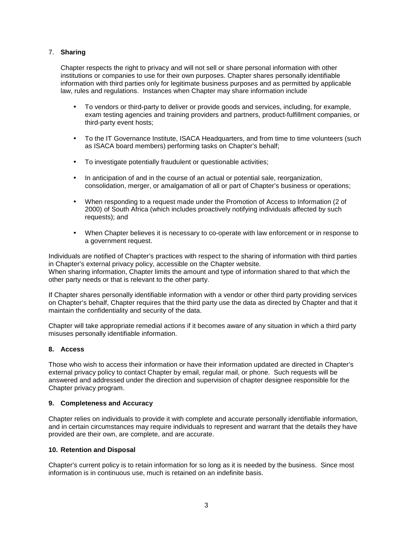## 7. **Sharing**

Chapter respects the right to privacy and will not sell or share personal information with other institutions or companies to use for their own purposes. Chapter shares personally identifiable information with third parties only for legitimate business purposes and as permitted by applicable law, rules and regulations. Instances when Chapter may share information include

- To vendors or third-party to deliver or provide goods and services, including, for example, exam testing agencies and training providers and partners, product-fulfillment companies, or third-party event hosts;
- To the IT Governance Institute, ISACA Headquarters, and from time to time volunteers (such as ISACA board members) performing tasks on Chapter's behalf;
- To investigate potentially fraudulent or questionable activities;
- In anticipation of and in the course of an actual or potential sale, reorganization, consolidation, merger, or amalgamation of all or part of Chapter's business or operations;
- When responding to a request made under the Promotion of Access to Information (2 of 2000) of South Africa (which includes proactively notifying individuals affected by such requests); and
- When Chapter believes it is necessary to co-operate with law enforcement or in response to a government request.

Individuals are notified of Chapter's practices with respect to the sharing of information with third parties in Chapter's external privacy policy, accessible on the Chapter website. When sharing information, Chapter limits the amount and type of information shared to that which the other party needs or that is relevant to the other party.

If Chapter shares personally identifiable information with a vendor or other third party providing services on Chapter's behalf, Chapter requires that the third party use the data as directed by Chapter and that it maintain the confidentiality and security of the data.

Chapter will take appropriate remedial actions if it becomes aware of any situation in which a third party misuses personally identifiable information.

#### **8. Access**

Those who wish to access their information or have their information updated are directed in Chapter's external privacy policy to contact Chapter by email, regular mail, or phone. Such requests will be answered and addressed under the direction and supervision of chapter designee responsible for the Chapter privacy program.

#### **9. Completeness and Accuracy**

Chapter relies on individuals to provide it with complete and accurate personally identifiable information, and in certain circumstances may require individuals to represent and warrant that the details they have provided are their own, are complete, and are accurate.

#### **10. Retention and Disposal**

Chapter's current policy is to retain information for so long as it is needed by the business. Since most information is in continuous use, much is retained on an indefinite basis.